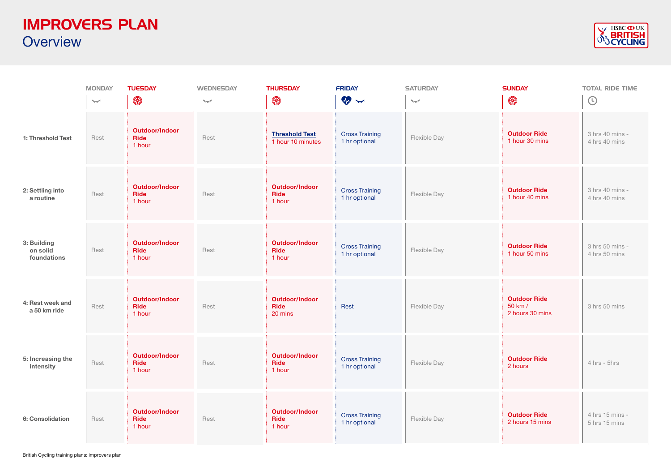## IMPROVERS PLAN **Overview**



|                                        | <b>MONDAY</b>      | <b>TUESDAY</b>                                 | <b>WEDNESDAY</b>           | <b>THURSDAY</b>                                 | <b>FRIDAY</b>                          | <b>SATURDAY</b>    | <b>SUNDAY</b>                                     | <b>TOTAL RIDE TIME</b>           |
|----------------------------------------|--------------------|------------------------------------------------|----------------------------|-------------------------------------------------|----------------------------------------|--------------------|---------------------------------------------------|----------------------------------|
|                                        | $\gamma_{\rm TIT}$ | $\circledR$                                    | $\gamma_{\overline{111}5}$ | $\circledR$                                     | <b>Comment</b>                         | $\gamma_{\rm TIT}$ | $\circledast$                                     | $\bigodot$                       |
| 1: Threshold Test                      | Rest               | <b>Outdoor/Indoor</b><br><b>Ride</b><br>1 hour | Rest                       | <b>Threshold Test</b><br>1 hour 10 minutes      | <b>Cross Training</b><br>1 hr optional | Flexible Day       | <b>Outdoor Ride</b><br>1 hour 30 mins             | 3 hrs 40 mins -<br>4 hrs 40 mins |
| 2: Settling into<br>a routine          | Rest               | <b>Outdoor/Indoor</b><br><b>Ride</b><br>1 hour | Rest                       | <b>Outdoor/Indoor</b><br><b>Ride</b><br>1 hour  | <b>Cross Training</b><br>1 hr optional | Flexible Day       | <b>Outdoor Ride</b><br>1 hour 40 mins             | 3 hrs 40 mins -<br>4 hrs 40 mins |
| 3: Building<br>on solid<br>foundations | Rest               | <b>Outdoor/Indoor</b><br><b>Ride</b><br>1 hour | Rest                       | <b>Outdoor/Indoor</b><br><b>Ride</b><br>1 hour  | <b>Cross Training</b><br>1 hr optional | Flexible Day       | <b>Outdoor Ride</b><br>1 hour 50 mins             | 3 hrs 50 mins -<br>4 hrs 50 mins |
| 4: Rest week and<br>a 50 km ride       | Rest               | <b>Outdoor/Indoor</b><br>Ride<br>1 hour        | Rest                       | <b>Outdoor/Indoor</b><br><b>Ride</b><br>20 mins | Rest                                   | Flexible Day       | <b>Outdoor Ride</b><br>50 km /<br>2 hours 30 mins | 3 hrs 50 mins                    |
| 5: Increasing the<br>intensity         | Rest               | <b>Outdoor/Indoor</b><br>Ride<br>1 hour        | Rest                       | <b>Outdoor/Indoor</b><br><b>Ride</b><br>1 hour  | <b>Cross Training</b><br>1 hr optional | Flexible Day       | <b>Outdoor Ride</b><br>2 hours                    | 4 hrs - 5hrs                     |
| 6: Consolidation                       | Rest               | <b>Outdoor/Indoor</b><br>Ride<br>1 hour        | Rest                       | <b>Outdoor/Indoor</b><br>Ride<br>1 hour         | <b>Cross Training</b><br>1 hr optional | Flexible Day       | <b>Outdoor Ride</b><br>2 hours 15 mins            | 4 hrs 15 mins -<br>5 hrs 15 mins |